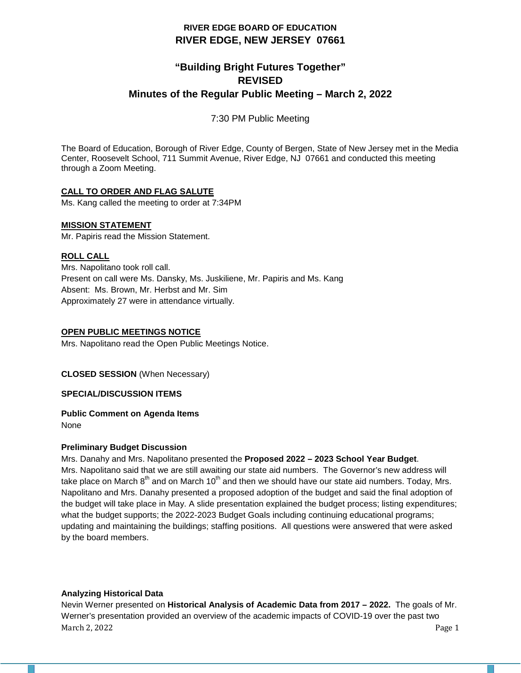# **RIVER EDGE BOARD OF EDUCATION RIVER EDGE, NEW JERSEY 07661**

# **"Building Bright Futures Together" REVISED Minutes of the Regular Public Meeting – March 2, 2022**

7:30 PM Public Meeting

The Board of Education, Borough of River Edge, County of Bergen, State of New Jersey met in the Media Center, Roosevelt School, 711 Summit Avenue, River Edge, NJ 07661 and conducted this meeting through a Zoom Meeting.

## **CALL TO ORDER AND FLAG SALUTE**

Ms. Kang called the meeting to order at 7:34PM

## **MISSION STATEMENT**

Mr. Papiris read the Mission Statement.

## **ROLL CALL**

Mrs. Napolitano took roll call. Present on call were Ms. Dansky, Ms. Juskiliene, Mr. Papiris and Ms. Kang Absent: Ms. Brown, Mr. Herbst and Mr. Sim Approximately 27 were in attendance virtually.

## **OPEN PUBLIC MEETINGS NOTICE**

Mrs. Napolitano read the Open Public Meetings Notice.

## **CLOSED SESSION** (When Necessary)

## **SPECIAL/DISCUSSION ITEMS**

# **Public Comment on Agenda Items**

None

## **Preliminary Budget Discussion**

Mrs. Danahy and Mrs. Napolitano presented the **Proposed 2022 – 2023 School Year Budget**.

Mrs. Napolitano said that we are still awaiting our state aid numbers. The Governor's new address will take place on March  $8<sup>th</sup>$  and on March 10<sup>th</sup> and then we should have our state aid numbers. Today, Mrs. Napolitano and Mrs. Danahy presented a proposed adoption of the budget and said the final adoption of the budget will take place in May. A slide presentation explained the budget process; listing expenditures; what the budget supports; the 2022-2023 Budget Goals including continuing educational programs; updating and maintaining the buildings; staffing positions. All questions were answered that were asked by the board members.

## **Analyzing Historical Data**

March 2, 2022 Page 1 Nevin Werner presented on **Historical Analysis of Academic Data from 2017 – 2022.** The goals of Mr. Werner's presentation provided an overview of the academic impacts of COVID-19 over the past two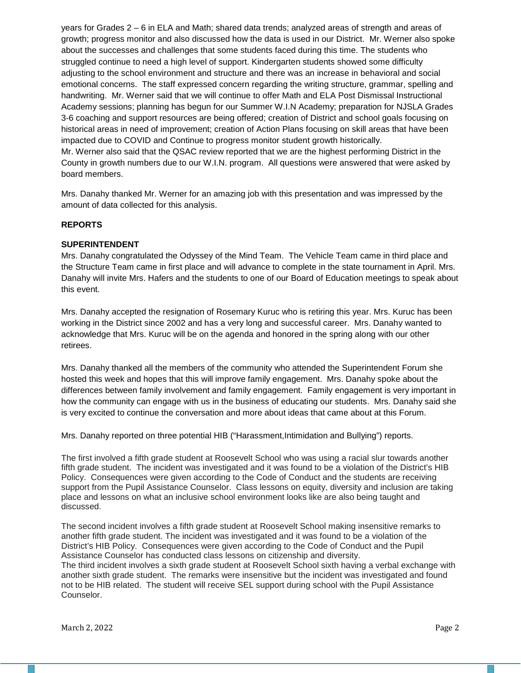years for Grades 2 – 6 in ELA and Math; shared data trends; analyzed areas of strength and areas of growth; progress monitor and also discussed how the data is used in our District. Mr. Werner also spoke about the successes and challenges that some students faced during this time. The students who struggled continue to need a high level of support. Kindergarten students showed some difficulty adjusting to the school environment and structure and there was an increase in behavioral and social emotional concerns. The staff expressed concern regarding the writing structure, grammar, spelling and handwriting. Mr. Werner said that we will continue to offer Math and ELA Post Dismissal Instructional Academy sessions; planning has begun for our Summer W.I.N Academy; preparation for NJSLA Grades 3-6 coaching and support resources are being offered; creation of District and school goals focusing on historical areas in need of improvement; creation of Action Plans focusing on skill areas that have been impacted due to COVID and Continue to progress monitor student growth historically. Mr. Werner also said that the QSAC review reported that we are the highest performing District in the County in growth numbers due to our W.I.N. program. All questions were answered that were asked by board members.

Mrs. Danahy thanked Mr. Werner for an amazing job with this presentation and was impressed by the amount of data collected for this analysis.

### **REPORTS**

### **SUPERINTENDENT**

Mrs. Danahy congratulated the Odyssey of the Mind Team. The Vehicle Team came in third place and the Structure Team came in first place and will advance to complete in the state tournament in April. Mrs. Danahy will invite Mrs. Hafers and the students to one of our Board of Education meetings to speak about this event.

Mrs. Danahy accepted the resignation of Rosemary Kuruc who is retiring this year. Mrs. Kuruc has been working in the District since 2002 and has a very long and successful career. Mrs. Danahy wanted to acknowledge that Mrs. Kuruc will be on the agenda and honored in the spring along with our other retirees.

Mrs. Danahy thanked all the members of the community who attended the Superintendent Forum she hosted this week and hopes that this will improve family engagement. Mrs. Danahy spoke about the differences between family involvement and family engagement. Family engagement is very important in how the community can engage with us in the business of educating our students. Mrs. Danahy said she is very excited to continue the conversation and more about ideas that came about at this Forum.

Mrs. Danahy reported on three potential HIB ("Harassment,Intimidation and Bullying") reports.

The first involved a fifth grade student at Roosevelt School who was using a racial slur towards another fifth grade student. The incident was investigated and it was found to be a violation of the District's HIB Policy. Consequences were given according to the Code of Conduct and the students are receiving support from the Pupil Assistance Counselor. Class lessons on equity, diversity and inclusion are taking place and lessons on what an inclusive school environment looks like are also being taught and discussed.

The second incident involves a fifth grade student at Roosevelt School making insensitive remarks to another fifth grade student. The incident was investigated and it was found to be a violation of the District's HIB Policy. Consequences were given according to the Code of Conduct and the Pupil Assistance Counselor has conducted class lessons on citizenship and diversity.

The third incident involves a sixth grade student at Roosevelt School sixth having a verbal exchange with another sixth grade student. The remarks were insensitive but the incident was investigated and found not to be HIB related. The student will receive SEL support during school with the Pupil Assistance Counselor.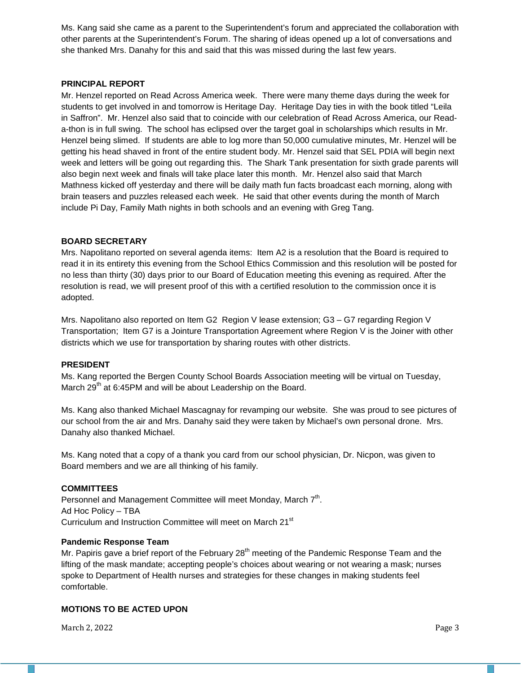Ms. Kang said she came as a parent to the Superintendent's forum and appreciated the collaboration with other parents at the Superintendent's Forum. The sharing of ideas opened up a lot of conversations and she thanked Mrs. Danahy for this and said that this was missed during the last few years.

### **PRINCIPAL REPORT**

Mr. Henzel reported on Read Across America week. There were many theme days during the week for students to get involved in and tomorrow is Heritage Day. Heritage Day ties in with the book titled "Leila in Saffron". Mr. Henzel also said that to coincide with our celebration of Read Across America, our Reada-thon is in full swing. The school has eclipsed over the target goal in scholarships which results in Mr. Henzel being slimed. If students are able to log more than 50,000 cumulative minutes, Mr. Henzel will be getting his head shaved in front of the entire student body. Mr. Henzel said that SEL PDIA will begin next week and letters will be going out regarding this. The Shark Tank presentation for sixth grade parents will also begin next week and finals will take place later this month. Mr. Henzel also said that March Mathness kicked off yesterday and there will be daily math fun facts broadcast each morning, along with brain teasers and puzzles released each week. He said that other events during the month of March include Pi Day, Family Math nights in both schools and an evening with Greg Tang.

### **BOARD SECRETARY**

Mrs. Napolitano reported on several agenda items: Item A2 is a resolution that the Board is required to read it in its entirety this evening from the School Ethics Commission and this resolution will be posted for no less than thirty (30) days prior to our Board of Education meeting this evening as required. After the resolution is read, we will present proof of this with a certified resolution to the commission once it is adopted.

Mrs. Napolitano also reported on Item G2 Region V lease extension; G3 – G7 regarding Region V Transportation; Item G7 is a Jointure Transportation Agreement where Region V is the Joiner with other districts which we use for transportation by sharing routes with other districts.

#### **PRESIDENT**

Ms. Kang reported the Bergen County School Boards Association meeting will be virtual on Tuesday, March  $29<sup>th</sup>$  at 6:45PM and will be about Leadership on the Board.

Ms. Kang also thanked Michael Mascagnay for revamping our website. She was proud to see pictures of our school from the air and Mrs. Danahy said they were taken by Michael's own personal drone. Mrs. Danahy also thanked Michael.

Ms. Kang noted that a copy of a thank you card from our school physician, Dr. Nicpon, was given to Board members and we are all thinking of his family.

#### **COMMITTEES**

Personnel and Management Committee will meet Monday, March 7<sup>th</sup>. Ad Hoc Policy – TBA Curriculum and Instruction Committee will meet on March 21<sup>st</sup>

#### **Pandemic Response Team**

Mr. Papiris gave a brief report of the February  $28<sup>th</sup>$  meeting of the Pandemic Response Team and the lifting of the mask mandate; accepting people's choices about wearing or not wearing a mask; nurses spoke to Department of Health nurses and strategies for these changes in making students feel comfortable.

#### **MOTIONS TO BE ACTED UPON**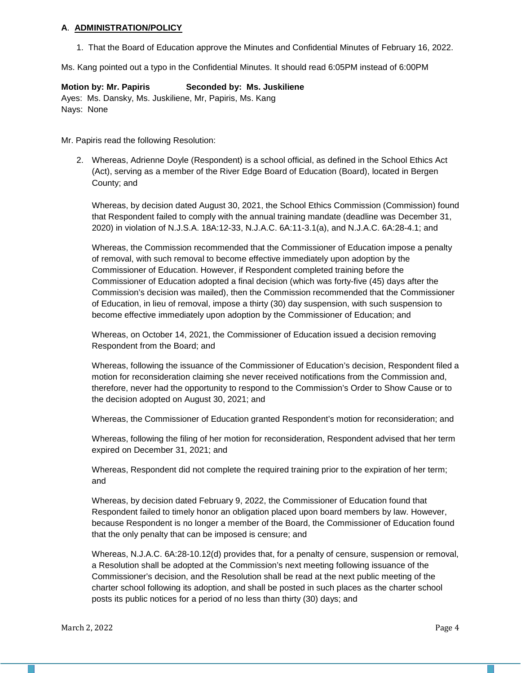#### **A**. **ADMINISTRATION/POLICY**

1. That the Board of Education approve the Minutes and Confidential Minutes of February 16, 2022.

Ms. Kang pointed out a typo in the Confidential Minutes. It should read 6:05PM instead of 6:00PM

### **Motion by: Mr. Papiris Seconded by: Ms. Juskiliene**

Ayes: Ms. Dansky, Ms. Juskiliene, Mr, Papiris, Ms. Kang Nays: None

Mr. Papiris read the following Resolution:

2. Whereas, Adrienne Doyle (Respondent) is a school official, as defined in the School Ethics Act (Act), serving as a member of the River Edge Board of Education (Board), located in Bergen County; and

Whereas, by decision dated August 30, 2021, the School Ethics Commission (Commission) found that Respondent failed to comply with the annual training mandate (deadline was December 31, 2020) in violation of N.J.S.A. 18A:12-33, N.J.A.C. 6A:11-3.1(a), and N.J.A.C. 6A:28-4.1; and

Whereas, the Commission recommended that the Commissioner of Education impose a penalty of removal, with such removal to become effective immediately upon adoption by the Commissioner of Education. However, if Respondent completed training before the Commissioner of Education adopted a final decision (which was forty-five (45) days after the Commission's decision was mailed), then the Commission recommended that the Commissioner of Education, in lieu of removal, impose a thirty (30) day suspension, with such suspension to become effective immediately upon adoption by the Commissioner of Education; and

Whereas, on October 14, 2021, the Commissioner of Education issued a decision removing Respondent from the Board; and

Whereas, following the issuance of the Commissioner of Education's decision, Respondent filed a motion for reconsideration claiming she never received notifications from the Commission and, therefore, never had the opportunity to respond to the Commission's Order to Show Cause or to the decision adopted on August 30, 2021; and

Whereas, the Commissioner of Education granted Respondent's motion for reconsideration; and

Whereas, following the filing of her motion for reconsideration, Respondent advised that her term expired on December 31, 2021; and

Whereas, Respondent did not complete the required training prior to the expiration of her term; and

Whereas, by decision dated February 9, 2022, the Commissioner of Education found that Respondent failed to timely honor an obligation placed upon board members by law. However, because Respondent is no longer a member of the Board, the Commissioner of Education found that the only penalty that can be imposed is censure; and

Whereas, N.J.A.C. 6A:28-10.12(d) provides that, for a penalty of censure, suspension or removal, a Resolution shall be adopted at the Commission's next meeting following issuance of the Commissioner's decision, and the Resolution shall be read at the next public meeting of the charter school following its adoption, and shall be posted in such places as the charter school posts its public notices for a period of no less than thirty (30) days; and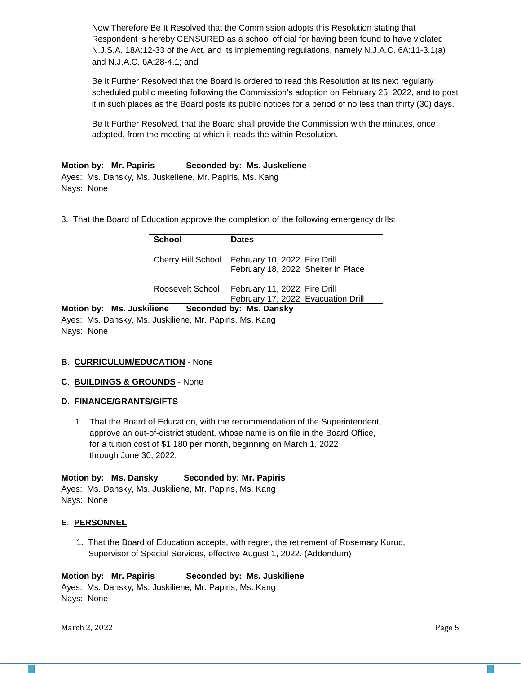Now Therefore Be It Resolved that the Commission adopts this Resolution stating that Respondent is hereby CENSURED as a school official for having been found to have violated N.J.S.A. 18A:12-33 of the Act, and its implementing regulations, namely N.J.A.C. 6A:11-3.1(a) and N.J.A.C. 6A:28-4.1; and

Be It Further Resolved that the Board is ordered to read this Resolution at its next regularly scheduled public meeting following the Commission's adoption on February 25, 2022, and to post it in such places as the Board posts its public notices for a period of no less than thirty (30) days.

Be It Further Resolved, that the Board shall provide the Commission with the minutes, once adopted, from the meeting at which it reads the within Resolution.

### **Motion by: Mr. Papiris Seconded by: Ms. Juskeliene**

Ayes: Ms. Dansky, Ms. Juskeliene, Mr. Papiris, Ms. Kang Nays: None

3. That the Board of Education approve the completion of the following emergency drills:

| <b>School</b>    | <b>Dates</b>                                                                              |
|------------------|-------------------------------------------------------------------------------------------|
|                  | Cherry Hill School   February 10, 2022 Fire Drill<br>  February 18, 2022 Shelter in Place |
| Roosevelt School | February 11, 2022 Fire Drill<br>February 17, 2022 Evacuation Drill                        |

**Motion by: Ms. Juskiliene Seconded by: Ms. Dansky** Ayes: Ms. Dansky, Ms. Juskiliene, Mr. Papiris, Ms. Kang Nays: None

## **B**. **CURRICULUM/EDUCATION** - None

#### **C**. **BUILDINGS & GROUNDS** - None

#### **D**. **FINANCE/GRANTS/GIFTS**

 1. That the Board of Education, with the recommendation of the Superintendent, approve an out-of-district student, whose name is on file in the Board Office, for a tuition cost of \$1,180 per month, beginning on March 1, 2022 through June 30, 2022,

#### **Motion by: Ms. Dansky Seconded by: Mr. Papiris**

Ayes: Ms. Dansky, Ms. Juskiliene, Mr. Papiris, Ms. Kang Nays: None

#### **E**. **PERSONNEL**

1. That the Board of Education accepts, with regret, the retirement of Rosemary Kuruc, Supervisor of Special Services, effective August 1, 2022. (Addendum)

#### **Motion by: Mr. Papiris Seconded by: Ms. Juskiliene**

Ayes: Ms. Dansky, Ms. Juskiliene, Mr. Papiris, Ms. Kang Nays: None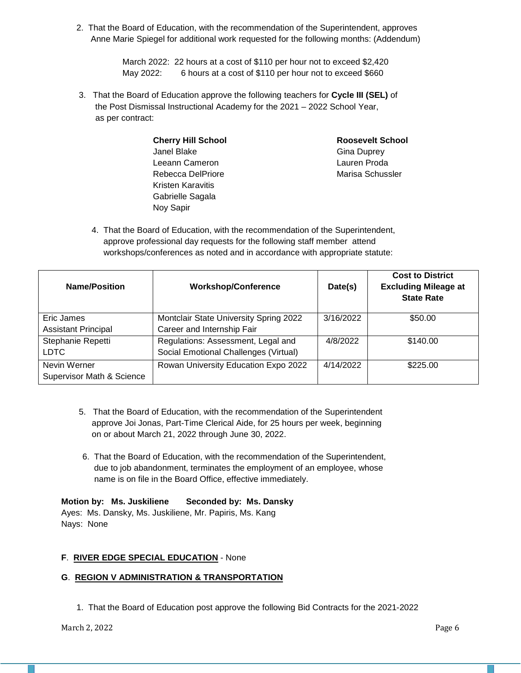2. That the Board of Education, with the recommendation of the Superintendent, approves Anne Marie Spiegel for additional work requested for the following months: (Addendum)

> March 2022: 22 hours at a cost of \$110 per hour not to exceed \$2,420 May 2022: 6 hours at a cost of \$110 per hour not to exceed \$660

3. That the Board of Education approve the following teachers for **Cycle III (SEL)** of the Post Dismissal Instructional Academy for the 2021 – 2022 School Year, as per contract:

| <b>Cherry Hill School</b> | <b>Roosevelt School</b> |
|---------------------------|-------------------------|
| Janel Blake               | <b>Gina Duprey</b>      |
| Leeann Cameron            | Lauren Proda            |
| Rebecca DelPriore         | Marisa Schussler        |
| Kristen Karavitis         |                         |
| Gabrielle Sagala          |                         |
| Noy Sapir                 |                         |

4. That the Board of Education, with the recommendation of the Superintendent, approve professional day requests for the following staff member attend workshops/conferences as noted and in accordance with appropriate statute:

| <b>Name/Position</b>                                 | <b>Workshop/Conference</b>                                                  | Date(s)   | <b>Cost to District</b><br><b>Excluding Mileage at</b><br><b>State Rate</b> |
|------------------------------------------------------|-----------------------------------------------------------------------------|-----------|-----------------------------------------------------------------------------|
| Eric James                                           | Montclair State University Spring 2022                                      | 3/16/2022 | \$50.00                                                                     |
| <b>Assistant Principal</b>                           | Career and Internship Fair                                                  |           |                                                                             |
| Stephanie Repetti<br><b>LDTC</b>                     | Regulations: Assessment, Legal and<br>Social Emotional Challenges (Virtual) | 4/8/2022  | \$140.00                                                                    |
| Nevin Werner<br><b>Supervisor Math &amp; Science</b> | Rowan University Education Expo 2022                                        | 4/14/2022 | \$225.00                                                                    |

- 5. That the Board of Education, with the recommendation of the Superintendent approve Joi Jonas, Part-Time Clerical Aide, for 25 hours per week, beginning on or about March 21, 2022 through June 30, 2022.
- 6. That the Board of Education, with the recommendation of the Superintendent, due to job abandonment, terminates the employment of an employee, whose name is on file in the Board Office, effective immediately.

## **Motion by: Ms. Juskiliene Seconded by: Ms. Dansky**

Ayes: Ms. Dansky, Ms. Juskiliene, Mr. Papiris, Ms. Kang Nays: None

## **F**. **RIVER EDGE SPECIAL EDUCATION** - None

## **G**. **REGION V ADMINISTRATION & TRANSPORTATION**

1. That the Board of Education post approve the following Bid Contracts for the 2021-2022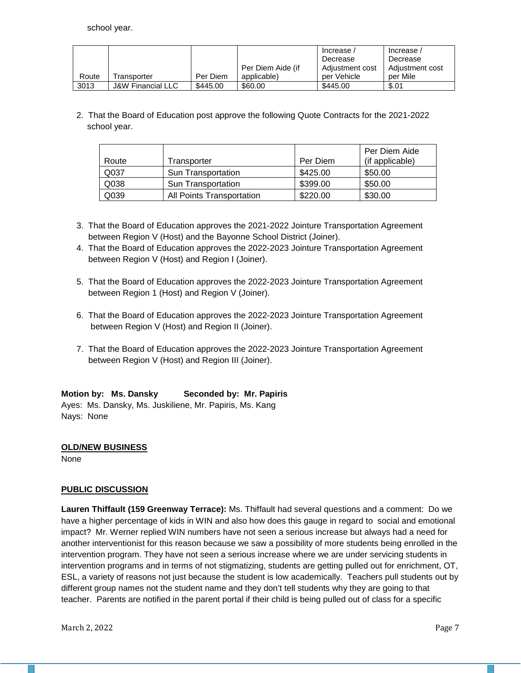school year.

|       |                              |          |                   | Increase        | Increase /      |
|-------|------------------------------|----------|-------------------|-----------------|-----------------|
|       |                              |          |                   | Decrease        | Decrease        |
|       |                              |          | Per Diem Aide (if | Adjustment cost | Adiustment cost |
| Route | Transporter                  | Per Diem | applicable)       | per Vehicle     | per Mile        |
| 3013  | <b>J&amp;W Financial LLC</b> | \$445.00 | \$60.00           | \$445.00        | \$.01           |

2. That the Board of Education post approve the following Quote Contracts for the 2021-2022 school year.

| Route | Transporter               | Per Diem | Per Diem Aide<br>(if applicable) |
|-------|---------------------------|----------|----------------------------------|
| Q037  | Sun Transportation        | \$425.00 | \$50.00                          |
| Q038  | <b>Sun Transportation</b> | \$399.00 | \$50.00                          |
| Q039  | All Points Transportation | \$220.00 | \$30.00                          |

- 3. That the Board of Education approves the 2021-2022 Jointure Transportation Agreement between Region V (Host) and the Bayonne School District (Joiner).
- 4. That the Board of Education approves the 2022-2023 Jointure Transportation Agreement between Region V (Host) and Region I (Joiner).
- 5. That the Board of Education approves the 2022-2023 Jointure Transportation Agreement between Region 1 (Host) and Region V (Joiner).
- 6. That the Board of Education approves the 2022-2023 Jointure Transportation Agreement between Region V (Host) and Region II (Joiner).
- 7. That the Board of Education approves the 2022-2023 Jointure Transportation Agreement between Region V (Host) and Region III (Joiner).

# **Motion by: Ms. Dansky Seconded by: Mr. Papiris**

Ayes: Ms. Dansky, Ms. Juskiliene, Mr. Papiris, Ms. Kang Nays: None

## **OLD/NEW BUSINESS**

None

## **PUBLIC DISCUSSION**

**Lauren Thiffault (159 Greenway Terrace):** Ms. Thiffault had several questions and a comment: Do we have a higher percentage of kids in WIN and also how does this gauge in regard to social and emotional impact? Mr. Werner replied WIN numbers have not seen a serious increase but always had a need for another interventionist for this reason because we saw a possibility of more students being enrolled in the intervention program. They have not seen a serious increase where we are under servicing students in intervention programs and in terms of not stigmatizing, students are getting pulled out for enrichment, OT, ESL, a variety of reasons not just because the student is low academically. Teachers pull students out by different group names not the student name and they don't tell students why they are going to that teacher. Parents are notified in the parent portal if their child is being pulled out of class for a specific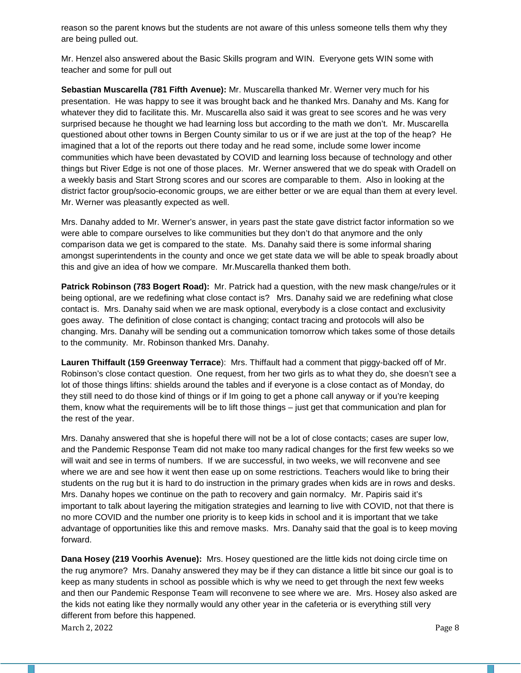reason so the parent knows but the students are not aware of this unless someone tells them why they are being pulled out.

Mr. Henzel also answered about the Basic Skills program and WIN. Everyone gets WIN some with teacher and some for pull out

**Sebastian Muscarella (781 Fifth Avenue):** Mr. Muscarella thanked Mr. Werner very much for his presentation. He was happy to see it was brought back and he thanked Mrs. Danahy and Ms. Kang for whatever they did to facilitate this. Mr. Muscarella also said it was great to see scores and he was very surprised because he thought we had learning loss but according to the math we don't. Mr. Muscarella questioned about other towns in Bergen County similar to us or if we are just at the top of the heap? He imagined that a lot of the reports out there today and he read some, include some lower income communities which have been devastated by COVID and learning loss because of technology and other things but River Edge is not one of those places. Mr. Werner answered that we do speak with Oradell on a weekly basis and Start Strong scores and our scores are comparable to them. Also in looking at the district factor group/socio-economic groups, we are either better or we are equal than them at every level. Mr. Werner was pleasantly expected as well.

Mrs. Danahy added to Mr. Werner's answer, in years past the state gave district factor information so we were able to compare ourselves to like communities but they don't do that anymore and the only comparison data we get is compared to the state. Ms. Danahy said there is some informal sharing amongst superintendents in the county and once we get state data we will be able to speak broadly about this and give an idea of how we compare. Mr.Muscarella thanked them both.

**Patrick Robinson (783 Bogert Road):** Mr. Patrick had a question, with the new mask change/rules or it being optional, are we redefining what close contact is? Mrs. Danahy said we are redefining what close contact is. Mrs. Danahy said when we are mask optional, everybody is a close contact and exclusivity goes away. The definition of close contact is changing; contact tracing and protocols will also be changing. Mrs. Danahy will be sending out a communication tomorrow which takes some of those details to the community.Mr. Robinson thanked Mrs. Danahy.

**Lauren Thiffault (159 Greenway Terrace**): Mrs. Thiffault had a comment that piggy-backed off of Mr. Robinson's close contact question. One request, from her two girls as to what they do, she doesn't see a lot of those things liftins: shields around the tables and if everyone is a close contact as of Monday, do they still need to do those kind of things or if Im going to get a phone call anyway or if you're keeping them, know what the requirements will be to lift those things – just get that communication and plan for the rest of the year.

Mrs. Danahy answered that she is hopeful there will not be a lot of close contacts; cases are super low, and the Pandemic Response Team did not make too many radical changes for the first few weeks so we will wait and see in terms of numbers. If we are successful, in two weeks, we will reconvene and see where we are and see how it went then ease up on some restrictions. Teachers would like to bring their students on the rug but it is hard to do instruction in the primary grades when kids are in rows and desks. Mrs. Danahy hopes we continue on the path to recovery and gain normalcy. Mr. Papiris said it's important to talk about layering the mitigation strategies and learning to live with COVID, not that there is no more COVID and the number one priority is to keep kids in school and it is important that we take advantage of opportunities like this and remove masks. Mrs. Danahy said that the goal is to keep moving forward.

March 2, 2022 Page 8 **Dana Hosey (219 Voorhis Avenue):** Mrs. Hosey questioned are the little kids not doing circle time on the rug anymore? Mrs. Danahy answered they may be if they can distance a little bit since our goal is to keep as many students in school as possible which is why we need to get through the next few weeks and then our Pandemic Response Team will reconvene to see where we are. Mrs. Hosey also asked are the kids not eating like they normally would any other year in the cafeteria or is everything still very different from before this happened.